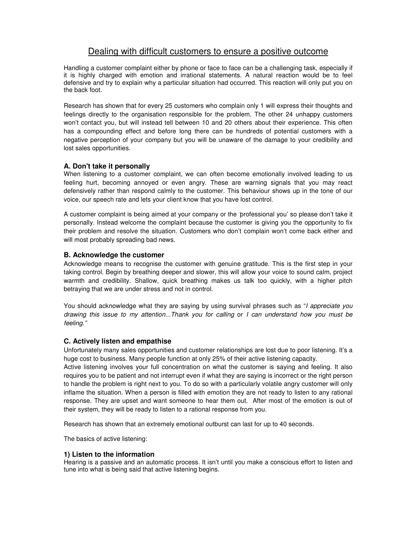# Dealing with difficult customers to ensure a positive outcome

Handling a customer complaint either by phone or face to face can be a challenging task, especially if it is highly charged with emotion and irrational statements. A natural reaction would be to feel defensive and try to explain why a particular situation had occurred. This reaction will only put you on the back foot.

Research has shown that for every 25 customers who complain only 1 will express their thoughts and feelings directly to the organisation responsible for the problem. The other 24 unhappy customers won't contact you, but will instead tell between 10 and 20 others about their experience. This often has a compounding effect and before long there can be hundreds of potential customers with a negative perception of your company but you will be unaware of the damage to your credibility and lost sales opportunities.

# **A. Don't take it personally**

When listening to a customer complaint, we can often become emotionally involved leading to us feeling hurt, becoming annoyed or even angry. These are warning signals that you may react defensively rather than respond calmly to the customer. This behaviour shows up in the tone of our voice, our speech rate and lets your client know that you have lost control.

A customer complaint is being aimed at your company or the 'professional you' so please don't take it personally. Instead welcome the complaint because the customer is giving you the opportunity to fix their problem and resolve the situation. Customers who don't complain won't come back either and will most probably spreading bad news.

## **B. Acknowledge the customer**

Acknowledge means to recognise the customer with genuine gratitude. This is the first step in your taking control. Begin by breathing deeper and slower, this will allow your voice to sound calm, project warmth and credibility. Shallow, quick breathing makes us talk too quickly, with a higher pitch betraying that we are under stress and not in control.

You should acknowledge what they are saying by using survival phrases such as "I appreciate you drawing this issue to my attention...Thank you for calling or I can understand how you must be feeling."

## **C. Actively listen and empathise**

Unfortunately many sales opportunities and customer relationships are lost due to poor listening. It's a huge cost to business. Many people function at only 25% of their active listening capacity.

Active listening involves your full concentration on what the customer is saying and feeling. It also requires you to be patient and not interrupt even if what they are saying is incorrect or the right person to handle the problem is right next to you. To do so with a particularly volatile angry customer will only inflame the situation. When a person is filled with emotion they are not ready to listen to any rational response. They are upset and want someone to hear them out. After most of the emotion is out of their system, they will be ready to listen to a rational response from you.

Research has shown that an extremely emotional outburst can last for up to 40 seconds.

The basics of active listening:

## **1) Listen to the information**

Hearing is a passive and an automatic process. It isn't until you make a conscious effort to listen and tune into what is being said that active listening begins.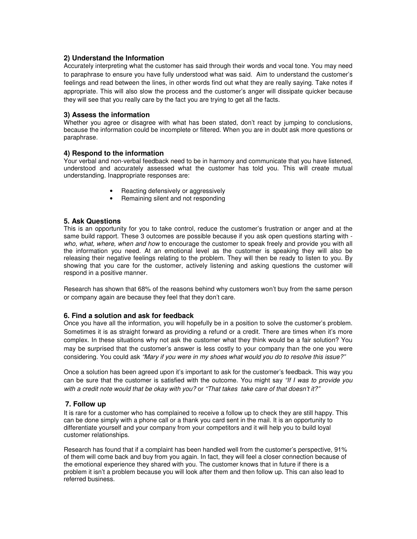## **2) Understand the Information**

Accurately interpreting what the customer has said through their words and vocal tone. You may need to paraphrase to ensure you have fully understood what was said. Aim to understand the customer's feelings and read between the lines, in other words find out what they are really saying. Take notes if appropriate. This will also slow the process and the customer's anger will dissipate quicker because they will see that you really care by the fact you are trying to get all the facts.

## **3) Assess the information**

Whether you agree or disagree with what has been stated, don't react by jumping to conclusions, because the information could be incomplete or filtered. When you are in doubt ask more questions or paraphrase.

# **4) Respond to the information**

Your verbal and non-verbal feedback need to be in harmony and communicate that you have listened, understood and accurately assessed what the customer has told you. This will create mutual understanding. Inappropriate responses are:

- Reacting defensively or aggressively
- Remaining silent and not responding

# **5. Ask Questions**

This is an opportunity for you to take control, reduce the customer's frustration or anger and at the same build rapport. These 3 outcomes are possible because if you ask open questions starting with who, what, where, when and how to encourage the customer to speak freely and provide you with all the information you need. At an emotional level as the customer is speaking they will also be releasing their negative feelings relating to the problem. They will then be ready to listen to you. By showing that you care for the customer, actively listening and asking questions the customer will respond in a positive manner.

Research has shown that 68% of the reasons behind why customers won't buy from the same person or company again are because they feel that they don't care.

## **6. Find a solution and ask for feedback**

Once you have all the information, you will hopefully be in a position to solve the customer's problem. Sometimes it is as straight forward as providing a refund or a credit. There are times when it's more complex. In these situations why not ask the customer what they think would be a fair solution? You may be surprised that the customer's answer is less costly to your company than the one you were considering. You could ask "Mary if you were in my shoes what would you do to resolve this issue?"

Once a solution has been agreed upon it's important to ask for the customer's feedback. This way you can be sure that the customer is satisfied with the outcome. You might say "If I was to provide you with a credit note would that be okay with you? or "That takes take care of that doesn't it?"

## **7. Follow up**

It is rare for a customer who has complained to receive a follow up to check they are still happy. This can be done simply with a phone call or a thank you card sent in the mail. It is an opportunity to differentiate yourself and your company from your competitors and it will help you to build loyal customer relationships.

Research has found that if a complaint has been handled well from the customer's perspective, 91% of them will come back and buy from you again. In fact, they will feel a closer connection because of the emotional experience they shared with you. The customer knows that in future if there is a problem it isn't a problem because you will look after them and then follow up. This can also lead to referred business.